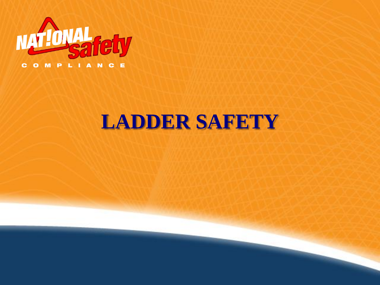

# **LADDER SAFETY**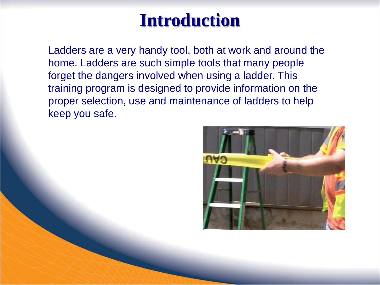#### **Introduction**

Ladders are a very handy tool, both at work and around the home. Ladders are such simple tools that many people forget the dangers involved when using a ladder. This training program is designed to provide information on the proper selection, use and maintenance of ladders to help keep you safe.

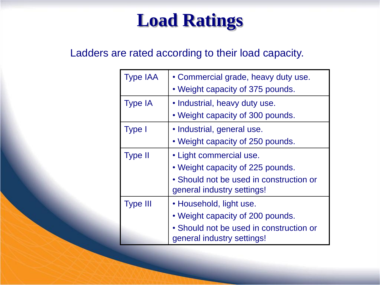## **Load Ratings**

Ladders are rated according to their load capacity.

| <b>Type IAA</b> | • Commercial grade, heavy duty use.<br>• Weight capacity of 375 pounds.                                                              |
|-----------------|--------------------------------------------------------------------------------------------------------------------------------------|
| <b>Type IA</b>  | • Industrial, heavy duty use.<br>• Weight capacity of 300 pounds.                                                                    |
| <b>Type I</b>   | · Industrial, general use.<br>• Weight capacity of 250 pounds.                                                                       |
| <b>Type II</b>  | • Light commercial use.<br>• Weight capacity of 225 pounds.<br>• Should not be used in construction or<br>general industry settings! |
| <b>Type III</b> | • Household, light use.<br>• Weight capacity of 200 pounds.<br>• Should not be used in construction or<br>general industry settings! |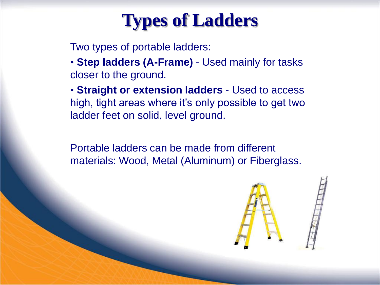

Two types of portable ladders:

• **Step ladders (A-Frame)** - Used mainly for tasks closer to the ground.

• **Straight or extension ladders** - Used to access high, tight areas where it's only possible to get two ladder feet on solid, level ground.

Portable ladders can be made from different materials: Wood, Metal (Aluminum) or Fiberglass.

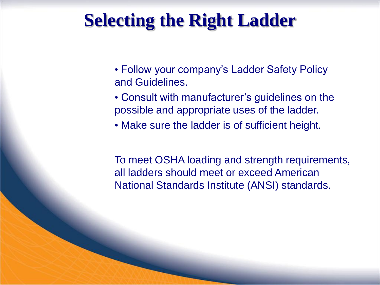#### **Selecting the Right Ladder**

- Follow your company's Ladder Safety Policy and Guidelines.
- Consult with manufacturer's guidelines on the possible and appropriate uses of the ladder.
- Make sure the ladder is of sufficient height.

To meet OSHA loading and strength requirements, all ladders should meet or exceed American National Standards Institute (ANSI) standards.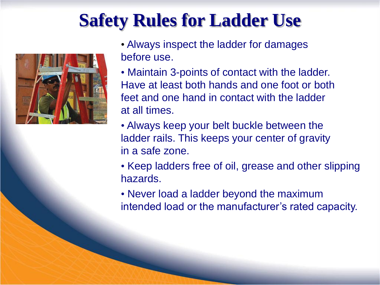## **Safety Rules for Ladder Use**



• Always inspect the ladder for damages before use.

- Maintain 3-points of contact with the ladder. Have at least both hands and one foot or both feet and one hand in contact with the ladder at all times.
- Always keep your belt buckle between the ladder rails. This keeps your center of gravity in a safe zone.
- Keep ladders free of oil, grease and other slipping hazards.
- Never load a ladder beyond the maximum intended load or the manufacturer's rated capacity.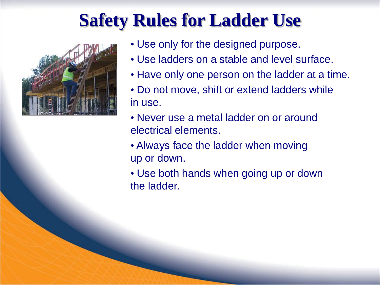## **Safety Rules for Ladder Use**



• Use only for the designed purpose.

- Use ladders on a stable and level surface.
- Have only one person on the ladder at a time.
- Do not move, shift or extend ladders while in use.
- Never use a metal ladder on or around electrical elements.
- Always face the ladder when moving up or down.
- Use both hands when going up or down the ladder.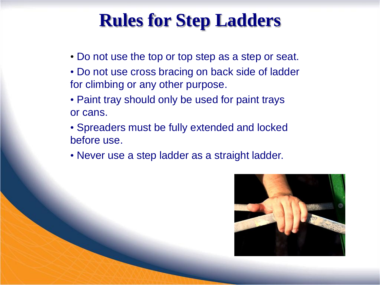### **Rules for Step Ladders**

- Do not use the top or top step as a step or seat.
- Do not use cross bracing on back side of ladder for climbing or any other purpose.
- Paint tray should only be used for paint trays or cans.
- Spreaders must be fully extended and locked before use.
- Never use a step ladder as a straight ladder.

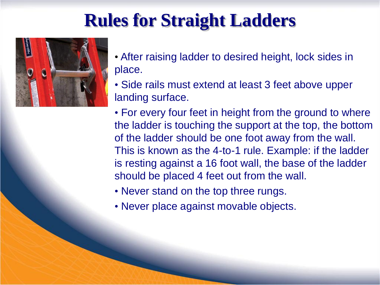## **Rules for Straight Ladders**



- After raising ladder to desired height, lock sides in place.
- Side rails must extend at least 3 feet above upper landing surface.
- For every four feet in height from the ground to where the ladder is touching the support at the top, the bottom of the ladder should be one foot away from the wall. This is known as the 4-to-1 rule. Example: if the ladder is resting against a 16 foot wall, the base of the ladder should be placed 4 feet out from the wall.
- Never stand on the top three rungs.
- Never place against movable objects.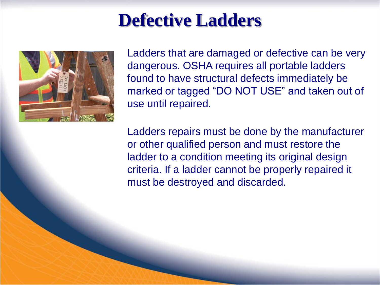#### **Defective Ladders**



Ladders that are damaged or defective can be very dangerous. OSHA requires all portable ladders found to have structural defects immediately be marked or tagged "DO NOT USE" and taken out of use until repaired.

Ladders repairs must be done by the manufacturer or other qualified person and must restore the ladder to a condition meeting its original design criteria. If a ladder cannot be properly repaired it must be destroyed and discarded.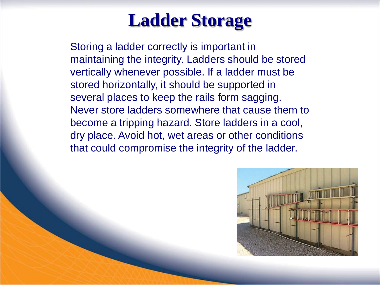## **Ladder Storage**

Storing a ladder correctly is important in maintaining the integrity. Ladders should be stored vertically whenever possible. If a ladder must be stored horizontally, it should be supported in several places to keep the rails form sagging. Never store ladders somewhere that cause them to become a tripping hazard. Store ladders in a cool, dry place. Avoid hot, wet areas or other conditions that could compromise the integrity of the ladder.

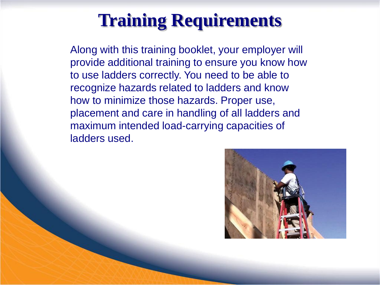#### **Training Requirements**

Along with this training booklet, your employer will provide additional training to ensure you know how to use ladders correctly. You need to be able to recognize hazards related to ladders and know how to minimize those hazards. Proper use, placement and care in handling of all ladders and maximum intended load-carrying capacities of ladders used.